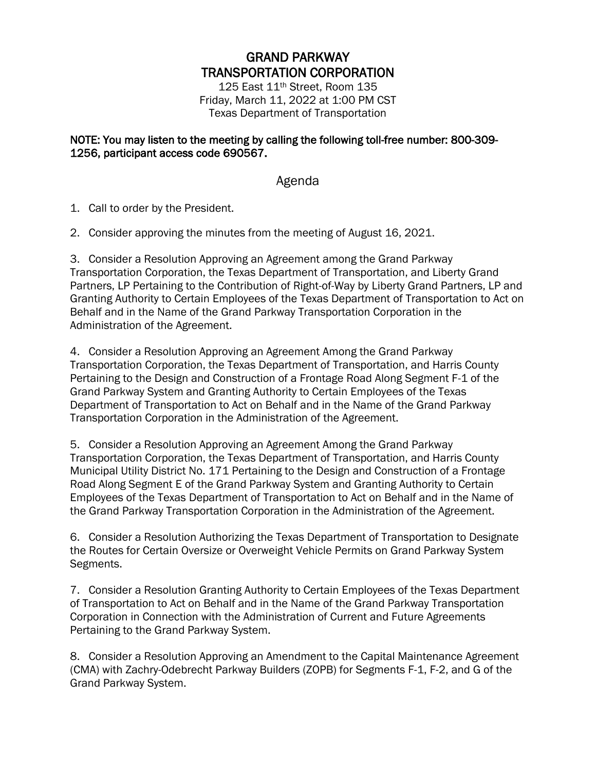## GRAND PARKWAY TRANSPORTATION CORPORATION

125 East 11th Street, Room 135 Friday, March 11, 2022 at 1:00 PM CST Texas Department of Transportation

## NOTE: You may listen to the meeting by calling the following toll-free number: 800-309- 1256, participant access code 690567.

## Agenda

1. Call to order by the President.

2. Consider approving the minutes from the meeting of August 16, 2021.

3. Consider a Resolution Approving an Agreement among the Grand Parkway Transportation Corporation, the Texas Department of Transportation, and Liberty Grand Partners, LP Pertaining to the Contribution of Right-of-Way by Liberty Grand Partners, LP and Granting Authority to Certain Employees of the Texas Department of Transportation to Act on Behalf and in the Name of the Grand Parkway Transportation Corporation in the Administration of the Agreement.

4. Consider a Resolution Approving an Agreement Among the Grand Parkway Transportation Corporation, the Texas Department of Transportation, and Harris County Pertaining to the Design and Construction of a Frontage Road Along Segment F-1 of the Grand Parkway System and Granting Authority to Certain Employees of the Texas Department of Transportation to Act on Behalf and in the Name of the Grand Parkway Transportation Corporation in the Administration of the Agreement.

5. Consider a Resolution Approving an Agreement Among the Grand Parkway Transportation Corporation, the Texas Department of Transportation, and Harris County Municipal Utility District No. 171 Pertaining to the Design and Construction of a Frontage Road Along Segment E of the Grand Parkway System and Granting Authority to Certain Employees of the Texas Department of Transportation to Act on Behalf and in the Name of the Grand Parkway Transportation Corporation in the Administration of the Agreement.

6. Consider a Resolution Authorizing the Texas Department of Transportation to Designate the Routes for Certain Oversize or Overweight Vehicle Permits on Grand Parkway System Segments.

7. Consider a Resolution Granting Authority to Certain Employees of the Texas Department of Transportation to Act on Behalf and in the Name of the Grand Parkway Transportation Corporation in Connection with the Administration of Current and Future Agreements Pertaining to the Grand Parkway System.

8. Consider a Resolution Approving an Amendment to the Capital Maintenance Agreement (CMA) with Zachry-Odebrecht Parkway Builders (ZOPB) for Segments F-1, F-2, and G of the Grand Parkway System.